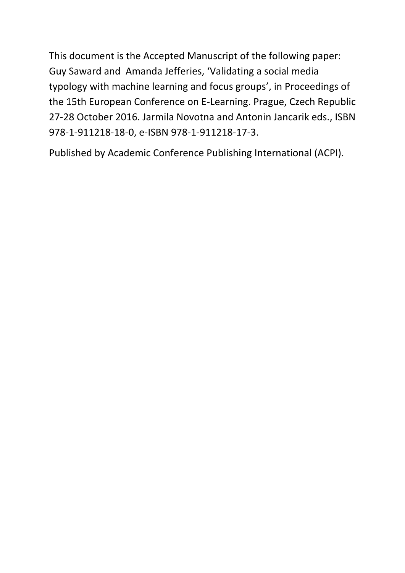This document is the Accepted Manuscript of the following paper: Guy Saward and Amanda Jefferies, 'Validating a social media typology with machine learning and focus groups', in Proceedings of the 15th European Conference on E-Learning. Prague, Czech Republic 27-28 October 2016. Jarmila Novotna and Antonin Jancarik eds., ISBN 978-1-911218-18-0, e-ISBN 978-1-911218-17-3.

Published by Academic Conference Publishing International (ACPI).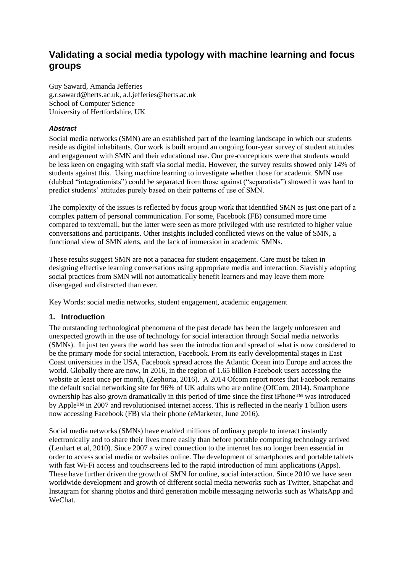# **Validating a social media typology with machine learning and focus groups**

Guy Saward, Amanda Jefferies g.r.saward@herts.ac.uk, a.l.jefferies@herts.ac.uk School of Computer Science University of Hertfordshire, UK

#### *Abstract*

Social media networks (SMN) are an established part of the learning landscape in which our students reside as digital inhabitants. Our work is built around an ongoing four-year survey of student attitudes and engagement with SMN and their educational use. Our pre-conceptions were that students would be less keen on engaging with staff via social media. However, the survey results showed only 14% of students against this. Using machine learning to investigate whether those for academic SMN use (dubbed "integrationists") could be separated from those against ("separatists") showed it was hard to predict students' attitudes purely based on their patterns of use of SMN.

The complexity of the issues is reflected by focus group work that identified SMN as just one part of a complex pattern of personal communication. For some, Facebook (FB) consumed more time compared to text/email, but the latter were seen as more privileged with use restricted to higher value conversations and participants. Other insights included conflicted views on the value of SMN, a functional view of SMN alerts, and the lack of immersion in academic SMNs.

These results suggest SMN are not a panacea for student engagement. Care must be taken in designing effective learning conversations using appropriate media and interaction. Slavishly adopting social practices from SMN will not automatically benefit learners and may leave them more disengaged and distracted than ever.

Key Words: social media networks, student engagement, academic engagement

#### **1. Introduction**

The outstanding technological phenomena of the past decade has been the largely unforeseen and unexpected growth in the use of technology for social interaction through Social media networks (SMNs). In just ten years the world has seen the introduction and spread of what is now considered to be the primary mode for social interaction, Facebook. From its early developmental stages in East Coast universities in the USA, Facebook spread across the Atlantic Ocean into Europe and across the world. Globally there are now, in 2016, in the region of 1.65 billion Facebook users accessing the website at least once per month, (Zephoria, 2016). A 2014 Ofcom report notes that Facebook remains the default social networking site for 96% of UK adults who are online (OfCom, 2014). Smartphone ownership has also grown dramatically in this period of time since the first iPhone™ was introduced by Apple™ in 2007 and revolutionised internet access. This is reflected in the nearly 1 billion users now accessing Facebook (FB) via their phone (eMarketer, June 2016).

Social media networks (SMNs) have enabled millions of ordinary people to interact instantly electronically and to share their lives more easily than before portable computing technology arrived (Lenhart et al, 2010). Since 2007 a wired connection to the internet has no longer been essential in order to access social media or websites online. The development of smartphones and portable tablets with fast Wi-Fi access and touchscreens led to the rapid introduction of mini applications (Apps). These have further driven the growth of SMN for online, social interaction. Since 2010 we have seen worldwide development and growth of different social media networks such as Twitter, Snapchat and Instagram for sharing photos and third generation mobile messaging networks such as WhatsApp and WeChat.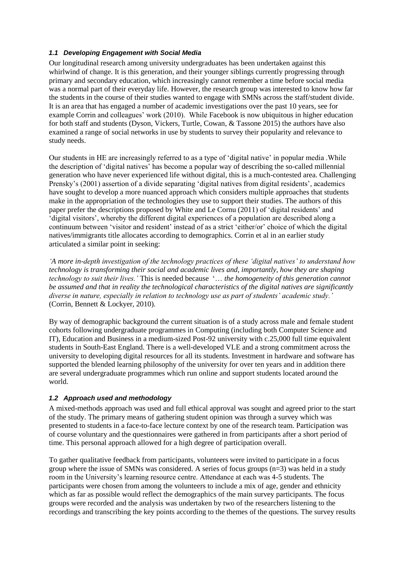### *1.1 Developing Engagement with Social Media*

Our longitudinal research among university undergraduates has been undertaken against this whirlwind of change. It is this generation, and their younger siblings currently progressing through primary and secondary education, which increasingly cannot remember a time before social media was a normal part of their everyday life. However, the research group was interested to know how far the students in the course of their studies wanted to engage with SMNs across the staff/student divide. It is an area that has engaged a number of academic investigations over the past 10 years, see for example Corrin and colleagues' work (2010). While Facebook is now ubiquitous in higher education for both staff and students (Dyson, Vickers, Turtle, Cowan, & Tassone 2015) the authors have also examined a range of social networks in use by students to survey their popularity and relevance to study needs.

Our students in HE are increasingly referred to as a type of 'digital native' in popular media .While the description of 'digital natives' has become a popular way of describing the so-called millennial generation who have never experienced life without digital, this is a much-contested area. Challenging Prensky's (2001) assertion of a divide separating 'digital natives from digital residents', academics have sought to develop a more nuanced approach which considers multiple approaches that students make in the appropriation of the technologies they use to support their studies. The authors of this paper prefer the descriptions proposed by White and Le Cornu (2011) of 'digital residents' and 'digital visitors', whereby the different digital experiences of a population are described along a continuum between 'visitor and resident' instead of as a strict 'either/or' choice of which the digital natives/immigrants title allocates according to demographics. Corrin et al in an earlier study articulated a similar point in seeking:

*'A more in-depth investigation of the technology practices of these 'digital natives' to understand how technology is transforming their social and academic lives and, importantly, how they are shaping technology to suit their lives.'* This is needed because '… *the homogeneity of this generation cannot be assumed and that in reality the technological characteristics of the digital natives are significantly diverse in nature, especially in relation to technology use as part of students' academic study.'*  (Corrin, Bennett & Lockyer, 2010).

By way of demographic background the current situation is of a study across male and female student cohorts following undergraduate programmes in Computing (including both Computer Science and IT), Education and Business in a medium-sized Post-92 university with c.25,000 full time equivalent students in South-East England. There is a well-developed VLE and a strong commitment across the university to developing digital resources for all its students. Investment in hardware and software has supported the blended learning philosophy of the university for over ten years and in addition there are several undergraduate programmes which run online and support students located around the world.

#### *1.2 Approach used and methodology*

A mixed-methods approach was used and full ethical approval was sought and agreed prior to the start of the study. The primary means of gathering student opinion was through a survey which was presented to students in a face-to-face lecture context by one of the research team. Participation was of course voluntary and the questionnaires were gathered in from participants after a short period of time. This personal approach allowed for a high degree of participation overall.

To gather qualitative feedback from participants, volunteers were invited to participate in a focus group where the issue of SMNs was considered. A series of focus groups (n=3) was held in a study room in the University's learning resource centre. Attendance at each was 4-5 students. The participants were chosen from among the volunteers to include a mix of age, gender and ethnicity which as far as possible would reflect the demographics of the main survey participants. The focus groups were recorded and the analysis was undertaken by two of the researchers listening to the recordings and transcribing the key points according to the themes of the questions. The survey results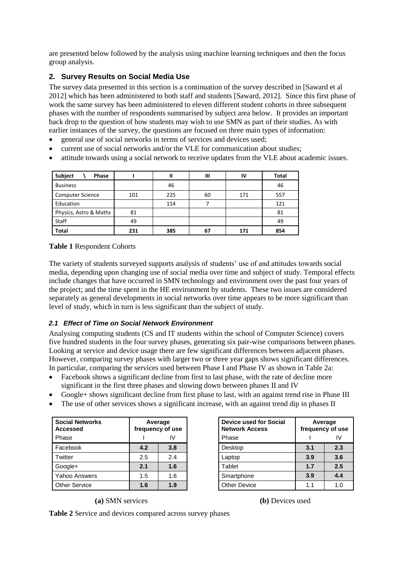are presented below followed by the analysis using machine learning techniques and then the focus group analysis.

## **2. Survey Results on Social Media Use**

The survey data presented in this section is a continuation of the survey described in [Saward et al 2012] which has been administered to both staff and students [Saward, 2012]. Since this first phase of work the same survey has been administered to eleven different student cohorts in three subsequent phases with the number of respondents summarised by subject area below. It provides an important back drop to the question of how students may wish to use SMN as part of their studies. As with earlier instances of the survey, the questions are focused on three main types of information:

- general use of social networks in terms of services and devices used;
- current use of social networks and/or the VLE for communication about studies;
- attitude towards using a social network to receive updates from the VLE about academic issues.

| Subject<br>Phase        |     | Ш   | Ш  | IV  | Total |
|-------------------------|-----|-----|----|-----|-------|
| <b>Business</b>         |     | 46  |    |     | 46    |
| <b>Computer Science</b> | 101 | 225 | 60 | 171 | 557   |
| Education               |     | 114 |    |     | 121   |
| Physics, Astro & Maths  | 81  |     |    |     | 81    |
| Staff                   | 49  |     |    |     | 49    |
| <b>Total</b>            | 231 | 385 | 67 | 171 | 854   |

**Table 1** Respondent Cohorts

The variety of students surveyed supports analysis of students' use of and attitudes towards social media, depending upon changing use of social media over time and subject of study. Temporal effects include changes that have occurred in SMN technology and environment over the past four years of the project; and the time spent in the HE environment by students. These two issues are considered separately as general developments in social networks over time appears to be more significant than level of study, which in turn is less significant than the subject of study.

### *2.1 Effect of Time on Social Network Environment*

Analysing computing students (CS and IT students within the school of Computer Science) covers five hundred students in the four survey phases, generating six pair-wise comparisons between phases. Looking at service and device usage there are few significant differences between adjacent phases. However, comparing survey phases with larger two or three year gaps shows significant differences. In particular, comparing the services used between Phase I and Phase IV as shown in Table 2a:

- Facebook shows a significant decline from first to last phase, with the rate of decline more significant in the first three phases and slowing down between phases II and IV
- Google+ shows significant decline from first phase to last, with an against trend rise in Phase III
- The use of other services shows a significant increase, with an against trend dip in phases II

| <b>Social Networks</b><br><b>Accessed</b> | Average<br>frequency of use |     |  |  |  |
|-------------------------------------------|-----------------------------|-----|--|--|--|
| Phase                                     |                             | IV  |  |  |  |
| Facebook                                  | 4.2                         | 3.8 |  |  |  |
| Twitter                                   | 2.5                         | 2.4 |  |  |  |
| Google+                                   | 2.1                         | 1.6 |  |  |  |
| Yahoo Answers                             | 1.5                         | 1.6 |  |  |  |
| <b>Other Service</b>                      | 1.6                         | 1.9 |  |  |  |

| Device used for Social<br><b>Network Access</b> | Average<br>frequency of use |     |  |  |  |
|-------------------------------------------------|-----------------------------|-----|--|--|--|
| Phase                                           | W                           |     |  |  |  |
| Desktop                                         | 3.1                         | 2.3 |  |  |  |
| _aptop                                          | 3.9                         | 3.6 |  |  |  |
| Tablet                                          | 1.7                         | 2.5 |  |  |  |
| Smartphone                                      | 3.9                         | 4.4 |  |  |  |
| <b>Other Device</b>                             | 11                          | 1.0 |  |  |  |

## **(a)** SMN services **(b)** Devices used

**Table 2** Service and devices compared across survey phases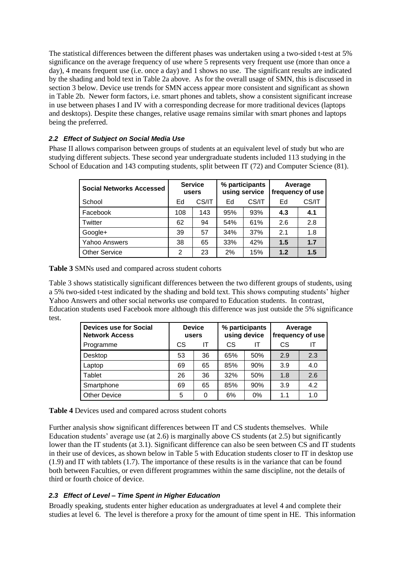The statistical differences between the different phases was undertaken using a two-sided t-test at 5% significance on the average frequency of use where 5 represents very frequent use (more than once a day), 4 means frequent use (i.e. once a day) and 1 shows no use. The significant results are indicated by the shading and bold text in Table 2a above. As for the overall usage of SMN, this is discussed in section 3 below. Device use trends for SMN access appear more consistent and significant as shown in Table 2b. Newer form factors, i.e. smart phones and tablets, show a consistent significant increase in use between phases I and IV with a corresponding decrease for more traditional devices (laptops and desktops). Despite these changes, relative usage remains similar with smart phones and laptops being the preferred.

## *2.2 Effect of Subject on Social Media Use*

Phase II allows comparison between groups of students at an equivalent level of study but who are studying different subjects. These second year undergraduate students included 113 studying in the School of Education and 143 computing students, split between IT (72) and Computer Science (81).

| <b>Social Networks Accessed</b> |     | <b>Service</b><br>users |     | % participants<br>using service | Average<br>frequency of use |       |  |
|---------------------------------|-----|-------------------------|-----|---------------------------------|-----------------------------|-------|--|
| School                          | Ed  | CS/IT                   | Ed  | CS/IT                           | Ed                          | CS/IT |  |
| Facebook                        | 108 | 143                     | 95% | 93%                             | 4.3                         | 4.1   |  |
| Twitter                         | 62  | 94                      | 54% | 61%                             | 2.6                         | 2.8   |  |
| Google+                         | 39  | 57                      | 34% | 37%                             | 2.1                         | 1.8   |  |
| <b>Yahoo Answers</b>            | 38  | 65                      | 33% | 42%                             | 1.5                         | 1.7   |  |
| <b>Other Service</b>            | 2   | 23                      | 2%  | 15%                             | 1.2                         | 1.5   |  |

**Table 3** SMNs used and compared across student cohorts

Table 3 shows statistically significant differences between the two different groups of students, using a 5% two-sided t-test indicated by the shading and bold text. This shows computing students' higher Yahoo Answers and other social networks use compared to Education students. In contrast, Education students used Facebook more although this difference was just outside the 5% significance test.

| <b>Devices use for Social</b><br><b>Network Access</b> |    | % participants<br><b>Device</b><br>using device<br>users |     |     | Average<br>frequency of use |     |  |
|--------------------------------------------------------|----|----------------------------------------------------------|-----|-----|-----------------------------|-----|--|
| Programme                                              | СS | СS<br>ΙT<br>ΙT                                           |     |     |                             | IΤ  |  |
| Desktop                                                | 53 | 36                                                       | 65% | 50% | 2.9                         | 2.3 |  |
| Laptop                                                 | 69 | 65                                                       | 85% | 90% | 3.9                         | 4.0 |  |
| Tablet                                                 | 26 | 36                                                       | 32% | 50% | 1.8                         | 2.6 |  |
| Smartphone                                             | 69 | 65                                                       | 85% | 90% | 3.9                         | 4.2 |  |
| <b>Other Device</b>                                    | 5  | 0                                                        | 6%  | 0%  | 1.1                         | 1.0 |  |

| Table 4 Devices used and compared across student cohorts |  |
|----------------------------------------------------------|--|
|----------------------------------------------------------|--|

Further analysis show significant differences between IT and CS students themselves. While Education students' average use (at 2.6) is marginally above CS students (at 2.5) but significantly lower than the IT students (at 3.1). Significant difference can also be seen between CS and IT students in their use of devices, as shown below in Table 5 with Education students closer to IT in desktop use (1.9) and IT with tablets (1.7). The importance of these results is in the variance that can be found both between Faculties, or even different programmes within the same discipline, not the details of third or fourth choice of device.

### *2.3 Effect of Level – Time Spent in Higher Education*

Broadly speaking, students enter higher education as undergraduates at level 4 and complete their studies at level 6. The level is therefore a proxy for the amount of time spent in HE. This information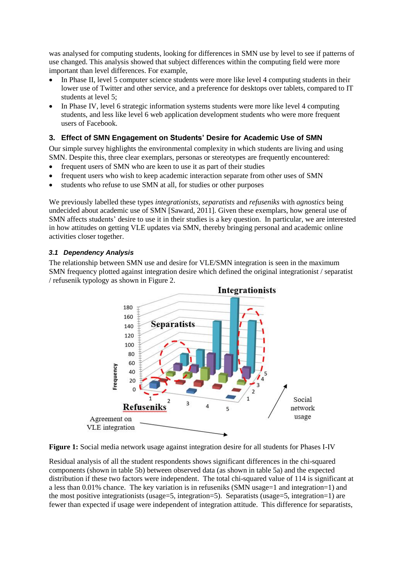was analysed for computing students, looking for differences in SMN use by level to see if patterns of use changed. This analysis showed that subject differences within the computing field were more important than level differences. For example,

- In Phase II, level 5 computer science students were more like level 4 computing students in their lower use of Twitter and other service, and a preference for desktops over tablets, compared to IT students at level 5;
- In Phase IV, level 6 strategic information systems students were more like level 4 computing students, and less like level 6 web application development students who were more frequent users of Facebook.

## **3. Effect of SMN Engagement on Students' Desire for Academic Use of SMN**

Our simple survey highlights the environmental complexity in which students are living and using SMN. Despite this, three clear exemplars, personas or stereotypes are frequently encountered:

- frequent users of SMN who are keen to use it as part of their studies
- frequent users who wish to keep academic interaction separate from other uses of SMN
- students who refuse to use SMN at all, for studies or other purposes

We previously labelled these types *integrationists*, *separatists* and *refuseniks* with *agnostics* being undecided about academic use of SMN [Saward, 2011]. Given these exemplars, how general use of SMN affects students' desire to use it in their studies is a key question. In particular, we are interested in how attitudes on getting VLE updates via SMN, thereby bringing personal and academic online activities closer together.

#### *3.1 Dependency Analysis*

The relationship between SMN use and desire for VLE/SMN integration is seen in the maximum SMN frequency plotted against integration desire which defined the original integrationist / separatist / refusenik typology as shown in Figure 2.



**Figure 1:** Social media network usage against integration desire for all students for Phases I-IV

Residual analysis of all the student respondents shows significant differences in the chi-squared components (shown in table 5b) between observed data (as shown in table 5a) and the expected distribution if these two factors were independent. The total chi-squared value of 114 is significant at a less than 0.01% chance. The key variation is in refuseniks (SMN usage=1 and integration=1) and the most positive integrationists (usage=5, integration=5). Separatists (usage=5, integration=1) are fewer than expected if usage were independent of integration attitude. This difference for separatists,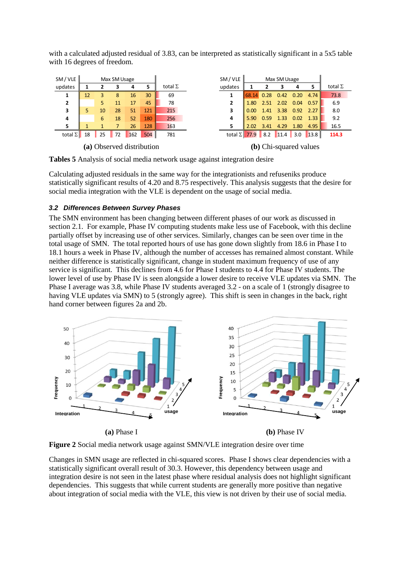with a calculated adjusted residual of 3.83, can be interpreted as statistically significant in a 5x5 table with 16 degrees of freedom.



**Tables 5** Analysis of social media network usage against integration desire

Calculating adjusted residuals in the same way for the integrationists and refuseniks produce statistically significant results of 4.20 and 8.75 respectively. This analysis suggests that the desire for social media integration with the VLE is dependent on the usage of social media.

#### *3.2 Differences Between Survey Phases*

The SMN environment has been changing between different phases of our work as discussed in section 2.1. For example, Phase IV computing students make less use of Facebook, with this decline partially offset by increasing use of other services. Similarly, changes can be seen over time in the total usage of SMN. The total reported hours of use has gone down slightly from 18.6 in Phase I to 18.1 hours a week in Phase IV, although the number of accesses has remained almost constant. While neither difference is statistically significant, change in student maximum frequency of use of any service is significant. This declines from 4.6 for Phase I students to 4.4 for Phase IV students. The lower level of use by Phase IV is seen alongside a lower desire to receive VLE updates via SMN. The Phase I average was 3.8, while Phase IV students averaged 3.2 - on a scale of 1 (strongly disagree to having VLE updates via SMN) to 5 (strongly agree). This shift is seen in changes in the back, right hand corner between figures 2a and 2b.



**Figure 2** Social media network usage against SMN/VLE integration desire over time

Changes in SMN usage are reflected in chi-squared scores. Phase I shows clear dependencies with a statistically significant overall result of 30.3. However, this dependency between usage and integration desire is not seen in the latest phase where residual analysis does not highlight significant dependencies. This suggests that while current students are generally more positive than negative about integration of social media with the VLE, this view is not driven by their use of social media.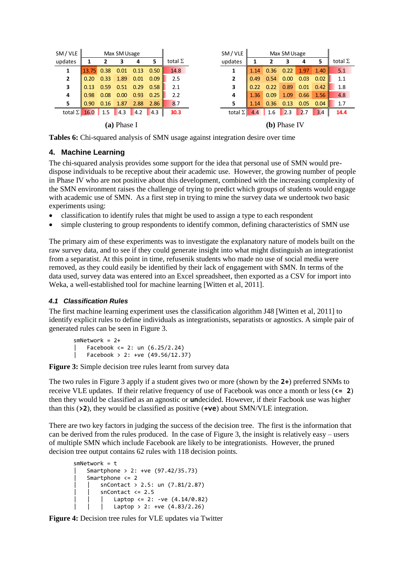| SM / VLE                |                                                                                                  |      | Max SM Usage |                      |      |                | SM / VLE              |                    |      | Max SM Usage |      |      |                |
|-------------------------|--------------------------------------------------------------------------------------------------|------|--------------|----------------------|------|----------------|-----------------------|--------------------|------|--------------|------|------|----------------|
| updates                 |                                                                                                  | 2    | 3            | 4                    | 5    | total $\Sigma$ | updates               | 1                  | 2    | 3            | 4    | -5   | total $\Sigma$ |
|                         | $\begin{array}{ c c c c c c c c c } \hline 13.75 & 0.38 & 0.01 & 0.13 & 0.50 \hline \end{array}$ |      |              |                      |      | 14.8           |                       | 1.14               | 0.36 | 0.22         | 1.97 | 1.40 | 5.1            |
| $\mathbf{2}$            | $\vert 0.20 \vert$                                                                               | 0.33 | 1.89         | 0.01                 | 0.09 | 2.5            | 2                     | $\vert 0.49 \vert$ | 0.54 | 0.00         | 0.03 | 0.02 | 1.1            |
| 3                       | 0.13                                                                                             |      |              | $0.59$ $0.51$ $0.29$ | 0.58 | 2.1            | 3                     | 0.22               | 0.22 | 0.89         | 0.01 | 0.42 | 1.8            |
| 4                       | 0.98                                                                                             | 0.08 | 0.00         | 0.93                 | 0.25 | 2.2            | 4                     | 1.36               | 0.09 | 1.09         | 0.66 | 1.56 | 4.8            |
| 5                       | 0.90                                                                                             |      | $0.16$ 1.87  | 2.88                 | 2.86 | 8.7            |                       | 1.14               | 0.36 | 0.13         | 0.05 | 0.04 | 1.7            |
| total $\Sigma$ 16.0 1.5 |                                                                                                  |      | $\vert$ 4.3  | 4.2                  | 4.3  | 30.3           | total $\Sigma$        | 4.4                | 1.6  | 2.3          | 2.7  | 3.4  | 14.4           |
| (a) Phase I             |                                                                                                  |      |              |                      |      |                | ( <b>b</b> ) Phase IV |                    |      |              |      |      |                |

**Tables 6:** Chi-squared analysis of SMN usage against integration desire over time

## **4. Machine Learning**

The chi-squared analysis provides some support for the idea that personal use of SMN would predispose individuals to be receptive about their academic use. However, the growing number of people in Phase IV who are not positive about this development, combined with the increasing complexity of the SMN environment raises the challenge of trying to predict which groups of students would engage with academic use of SMN. As a first step in trying to mine the survey data we undertook two basic experiments using:

- classification to identify rules that might be used to assign a type to each respondent
- simple clustering to group respondents to identify common, defining characteristics of SMN use

The primary aim of these experiments was to investigate the explanatory nature of models built on the raw survey data, and to see if they could generate insight into what might distinguish an integrationist from a separatist. At this point in time, refusenik students who made no use of social media were removed, as they could easily be identified by their lack of engagement with SMN. In terms of the data used, survey data was entered into an Excel spreadsheet, then exported as a CSV for import into Weka, a well-established tool for machine learning [Witten et al, 2011].

### *4.1 Classification Rules*

The first machine learning experiment uses the classification algorithm J48 [Witten et al, 2011] to identify explicit rules to define individuals as integrationists, separatists or agnostics. A simple pair of generated rules can be seen in Figure 3.

```
smNetwork = 2+
Facebook \leq 2: un (6.25/2.24)Facebook > 2: +ve (49.56/12.37)
```
Figure 3: Simple decision tree rules learnt from survey data

The two rules in Figure 3 apply if a student gives two or more (shown by the **2+**) preferred SNMs to receive VLE updates. If their relative frequency of use of Facebook was once a month or less (**<= 2**) then they would be classified as an agnostic or **un**decided. However, if their Facbook use was higher than this (**>2**), they would be classified as positive (**+ve**) about SMN/VLE integration.

There are two key factors in judging the success of the decision tree. The first is the information that can be derived from the rules produced. In the case of Figure 3, the insight is relatively easy – users of multiple SMN which include Facebook are likely to be integrationists. However, the pruned decision tree output contains 62 rules with 118 decision points.

```
smNetwork = t
| Smartphone > 2: +ve (97.42/35.73)
 Smartphone \leq 2
    snContext > 2.5: un (7.81/2.87)snContext \leq 2.5Laptop <= 2: -ve (4.14/0.82)Laptop > 2: +ve (4.83/2.26)
```
**Figure 4:** Decision tree rules for VLE updates via Twitter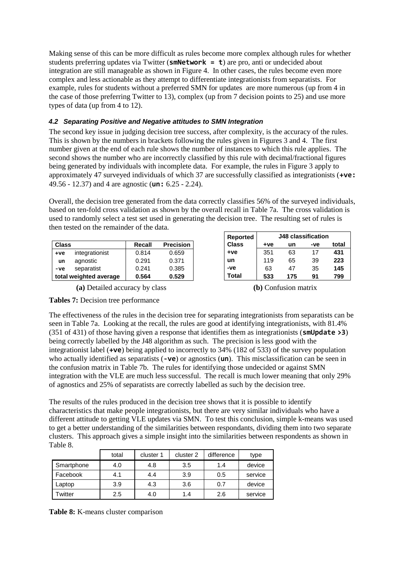Making sense of this can be more difficult as rules become more complex although rules for whether students preferring updates via Twitter (**smNetwork = t**) are pro, anti or undecided about integration are still manageable as shown in Figure 4. In other cases, the rules become even more complex and less actionable as they attempt to differentiate integrationists from separatists. For example, rules for students without a preferred SMN for updates are more numerous (up from 4 in the case of those preferring Twitter to 13), complex (up from 7 decision points to 25) and use more types of data (up from 4 to 12).

## *4.2 Separating Positive and Negative attitudes to SMN Integration*

The second key issue in judging decision tree success, after complexity, is the accuracy of the rules. This is shown by the numbers in brackets following the rules given in Figures 3 and 4. The first number given at the end of each rule shows the number of instances to which this rule applies. The second shows the number who are incorrectly classified by this rule with decimal/fractional figures being generated by individuals with incomplete data. For example, the rules in Figure 3 apply to approximately 47 surveyed individuals of which 37 are successfully classified as integrationists (**+ve:** 49.56 - 12.37) and 4 are agnostic (**un:** 6.25 - 2.24).

Overall, the decision tree generated from the data correctly classifies 56% of the surveyed individuals, based on ten-fold cross validation as shown by the overall recall in Table 7a. The cross validation is used to randomly select a test set used in generating the decision tree. The resulting set of rules is then tested on the remainder of the data.

| <b>Class</b> |                        | Recall | <b>Precision</b> |
|--------------|------------------------|--------|------------------|
| $+ve$        | integrationist         | 0.814  | 0.659            |
| un           | agnostic               | 0.291  | 0.371            |
| -ve          | separatist             | 0.241  | 0.385            |
|              | total weighted average | 0.564  | 0.529            |

**(a)** Detailed accuracy by class **(b)** Confusion matrix

|  | Tables 7: Decision tree performance |
|--|-------------------------------------|
|--|-------------------------------------|

| <b>Reported</b> | <b>J48 classification</b> |     |     |       |  |  |  |
|-----------------|---------------------------|-----|-----|-------|--|--|--|
| <b>Class</b>    | $+ve$                     | un  | -ve | total |  |  |  |
| $+ve$           | 351                       | 63  | 17  | 431   |  |  |  |
| un              | 119                       | 65  | 39  | 223   |  |  |  |
| -ve             | 63                        | 47  | 35  | 145   |  |  |  |
| Total           | 533                       | 175 | 91  | 799   |  |  |  |

The effectiveness of the rules in the decision tree for separating integrationists from separatists can be seen in Table 7a. Looking at the recall, the rules are good at identifying integrationists, with 81.4% (351 of 431) of those having given a response that identifies them as integrationists (**smUpdate >3**) being correctly labelled by the J48 algorithm as such. The precision is less good with the integrationist label (**+ve**) being applied to incorrectly to 34% (182 of 533) of the survey population who actually identified as separatists (**-ve**) or agnostics (**un**). This misclassification can be seen in the confusion matrix in Table 7b. The rules for identifying those undecided or against SMN integration with the VLE are much less successful. The recall is much lower meaning that only 29% of agnostics and 25% of separatists are correctly labelled as such by the decision tree.

The results of the rules produced in the decision tree shows that it is possible to identify characteristics that make people integrationists, but there are very similar individuals who have a different attitude to getting VLE updates via SMN. To test this conclusion, simple k-means was used to get a better understanding of the similarities between respondants, dividing them into two separate clusters. This approach gives a simple insight into the similarities between respondents as shown in Table 8.

|            | total | cluster 1 | cluster 2 | difference | type    |
|------------|-------|-----------|-----------|------------|---------|
| Smartphone | 4.0   | 4.8       | 3.5       | 1.4        | device  |
| Facebook   | 4.1   | 4.4       | 3.9       | 0.5        | service |
| Laptop     | 3.9   | 4.3       | 3.6       | 0.7        | device  |
| Twitter    | 2.5   | 4.0       | 1.4       | 2.6        | service |

**Table 8:** K-means cluster comparison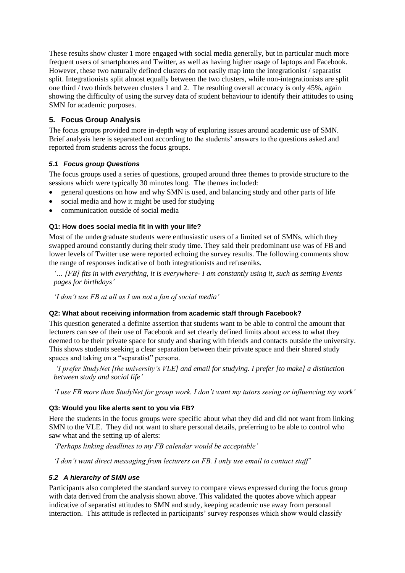These results show cluster 1 more engaged with social media generally, but in particular much more frequent users of smartphones and Twitter, as well as having higher usage of laptops and Facebook. However, these two naturally defined clusters do not easily map into the integrationist / separatist split. Integrationists split almost equally between the two clusters, while non-integrationists are split one third / two thirds between clusters 1 and 2. The resulting overall accuracy is only 45%, again showing the difficulty of using the survey data of student behaviour to identify their attitudes to using SMN for academic purposes.

## **5. Focus Group Analysis**

The focus groups provided more in-depth way of exploring issues around academic use of SMN. Brief analysis here is separated out according to the students' answers to the questions asked and reported from students across the focus groups.

### *5.1 Focus group Questions*

The focus groups used a series of questions, grouped around three themes to provide structure to the sessions which were typically 30 minutes long. The themes included:

- general questions on how and why SMN is used, and balancing study and other parts of life
- social media and how it might be used for studying
- communication outside of social media

#### **Q1: How does social media fit in with your life?**

Most of the undergraduate students were enthusiastic users of a limited set of SMNs, which they swapped around constantly during their study time. They said their predominant use was of FB and lower levels of Twitter use were reported echoing the survey results. The following comments show the range of responses indicative of both integrationists and refuseniks.

*'… [FB] fits in with everything, it is everywhere- I am constantly using it, such as setting Events pages for birthdays'*

*'I don't use FB at all as I am not a fan of social media'*

#### **Q2: What about receiving information from academic staff through Facebook?**

This question generated a definite assertion that students want to be able to control the amount that lecturers can see of their use of Facebook and set clearly defined limits about access to what they deemed to be their private space for study and sharing with friends and contacts outside the university. This shows students seeking a clear separation between their private space and their shared study spaces and taking on a "separatist" persona.

*'I prefer StudyNet [the university's VLE] and email for studying. I prefer [to make] a distinction between study and social life'*

*'I use FB more than StudyNet for group work. I don't want my tutors seeing or influencing my work'*

### **Q3: Would you like alerts sent to you via FB?**

Here the students in the focus groups were specific about what they did and did not want from linking SMN to the VLE. They did not want to share personal details, preferring to be able to control who saw what and the setting up of alerts:

*'Perhaps linking deadlines to my FB calendar would be acceptable'*

*'I don't want direct messaging from lecturers on FB. I only use email to contact staff'* 

#### *5.2 A hierarchy of SMN use*

Participants also completed the standard survey to compare views expressed during the focus group with data derived from the analysis shown above. This validated the quotes above which appear indicative of separatist attitudes to SMN and study, keeping academic use away from personal interaction. This attitude is reflected in participants' survey responses which show would classify